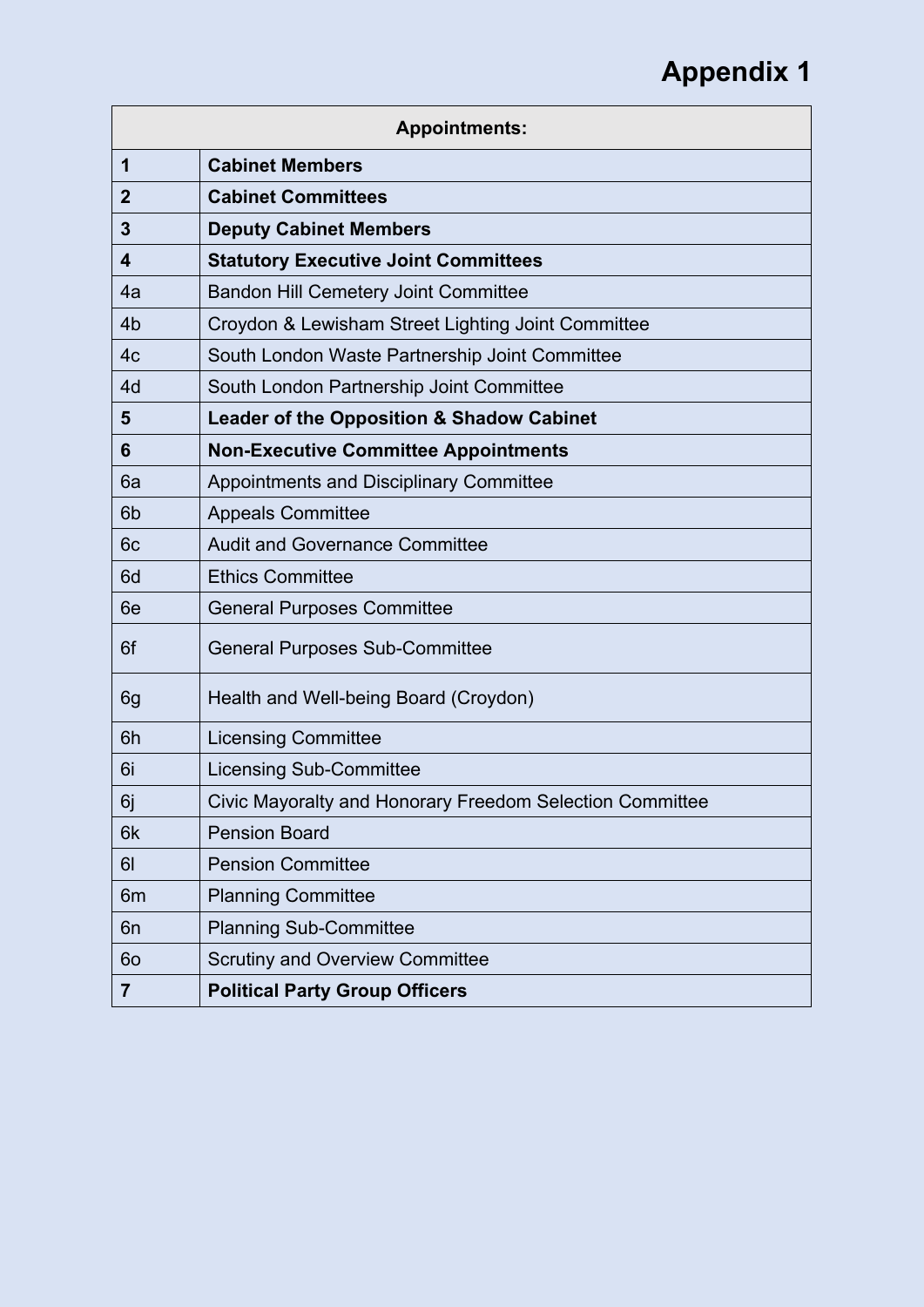| <b>Appointments:</b> |                                                          |
|----------------------|----------------------------------------------------------|
| 1                    | <b>Cabinet Members</b>                                   |
| $\overline{2}$       | <b>Cabinet Committees</b>                                |
| 3                    | <b>Deputy Cabinet Members</b>                            |
| 4                    | <b>Statutory Executive Joint Committees</b>              |
| 4a                   | <b>Bandon Hill Cemetery Joint Committee</b>              |
| 4 <sub>b</sub>       | Croydon & Lewisham Street Lighting Joint Committee       |
| 4 <sub>c</sub>       | South London Waste Partnership Joint Committee           |
| 4d                   | South London Partnership Joint Committee                 |
| 5                    | <b>Leader of the Opposition &amp; Shadow Cabinet</b>     |
| 6                    | <b>Non-Executive Committee Appointments</b>              |
| 6a                   | Appointments and Disciplinary Committee                  |
| 6 <sub>b</sub>       | <b>Appeals Committee</b>                                 |
| 6 <sub>c</sub>       | <b>Audit and Governance Committee</b>                    |
| 6d                   | <b>Ethics Committee</b>                                  |
| 6e                   | <b>General Purposes Committee</b>                        |
| 6f                   | <b>General Purposes Sub-Committee</b>                    |
| 6g                   | Health and Well-being Board (Croydon)                    |
| 6h                   | <b>Licensing Committee</b>                               |
| 6i                   | <b>Licensing Sub-Committee</b>                           |
| 6j                   | Civic Mayoralty and Honorary Freedom Selection Committee |
| 6k                   | <b>Pension Board</b>                                     |
| 61                   | <b>Pension Committee</b>                                 |
| 6m                   | <b>Planning Committee</b>                                |
| 6n                   | <b>Planning Sub-Committee</b>                            |
| 60                   | <b>Scrutiny and Overview Committee</b>                   |
| 7                    | <b>Political Party Group Officers</b>                    |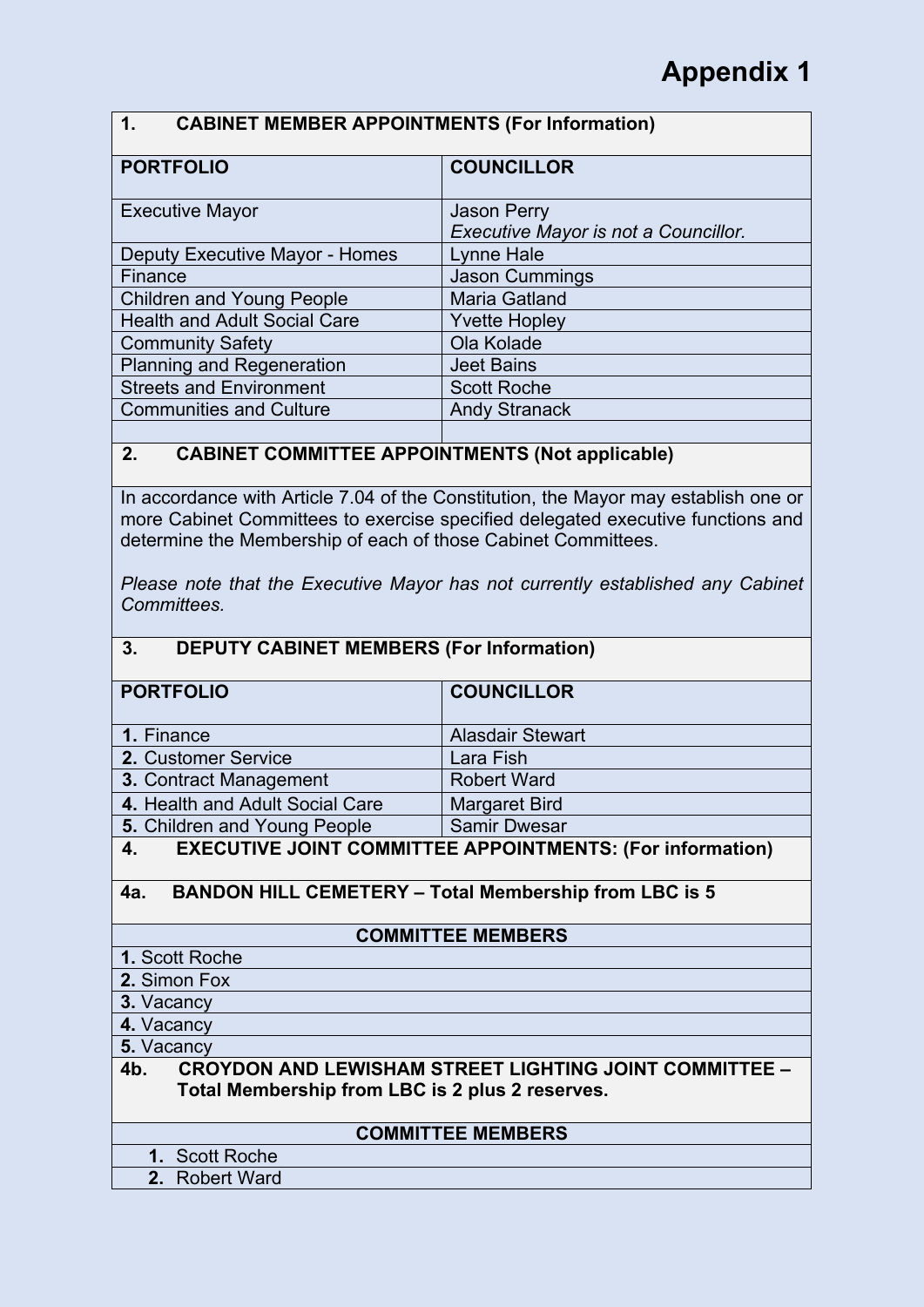### **1. CABINET MEMBER APPOINTMENTS (For Information)**

| <b>PORTFOLIO</b>                    | <b>COUNCILLOR</b>                                          |
|-------------------------------------|------------------------------------------------------------|
| <b>Executive Mayor</b>              | <b>Jason Perry</b><br>Executive Mayor is not a Councillor. |
| Deputy Executive Mayor - Homes      | Lynne Hale                                                 |
| Finance                             | <b>Jason Cummings</b>                                      |
| <b>Children and Young People</b>    | <b>Maria Gatland</b>                                       |
| <b>Health and Adult Social Care</b> | <b>Yvette Hopley</b>                                       |
| <b>Community Safety</b>             | Ola Kolade                                                 |
| <b>Planning and Regeneration</b>    | <b>Jeet Bains</b>                                          |
| <b>Streets and Environment</b>      | <b>Scott Roche</b>                                         |
| <b>Communities and Culture</b>      | <b>Andy Stranack</b>                                       |
|                                     |                                                            |

### **2. CABINET COMMITTEE APPOINTMENTS (Not applicable)**

In accordance with Article 7.04 of the Constitution, the Mayor may establish one or more Cabinet Committees to exercise specified delegated executive functions and determine the Membership of each of those Cabinet Committees.

*Please note that the Executive Mayor has not currently established any Cabinet Committees.*

### **3. DEPUTY CABINET MEMBERS (For Information)**

| <b>PORTFOLIO</b>                | <b>COUNCILLOR</b>                                                |
|---------------------------------|------------------------------------------------------------------|
|                                 |                                                                  |
| 1. Finance                      | <b>Alasdair Stewart</b>                                          |
| 2. Customer Service             | Lara Fish                                                        |
| <b>3. Contract Management</b>   | <b>Robert Ward</b>                                               |
| 4. Health and Adult Social Care | Margaret Bird                                                    |
| 5. Children and Young People    | <b>Samir Dwesar</b>                                              |
| $\boldsymbol{\Lambda}$          | <b>EXECUTIVE IOINT COMMITTEE ADDOINTMENTS: (For information)</b> |

#### **4. EXECUTIVE JOINT COMMITTEE APPOINTMENTS: (For information)**

#### **4a. BANDON HILL CEMETERY – Total Membership from LBC is 5**

#### **COMMITTEE MEMBERS**

- **1.** Scott Roche
- **2.** Simon Fox
- **3.** Vacancy
- **4.** Vacancy

**5.** Vacancy

#### **4b. CROYDON AND LEWISHAM STREET LIGHTING JOINT COMMITTEE – Total Membership from LBC is 2 plus 2 reserves.**

#### **COMMITTEE MEMBERS**

- **1.** Scott Roche
- **2.** Robert Ward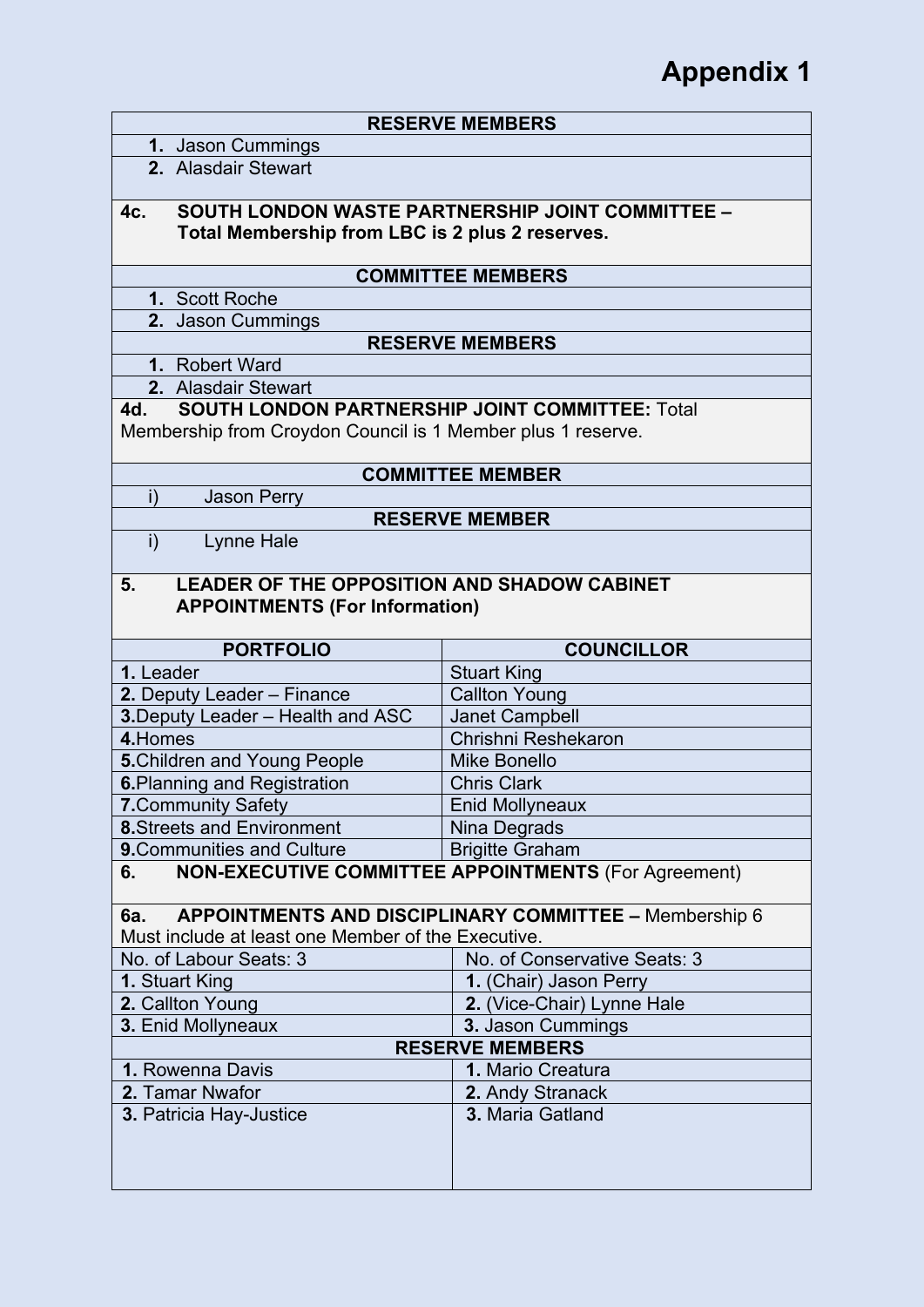|                        |                                                                                      | <b>RESERVE MEMBERS</b>                                        |
|------------------------|--------------------------------------------------------------------------------------|---------------------------------------------------------------|
|                        | 1. Jason Cummings                                                                    |                                                               |
|                        | 2. Alasdair Stewart                                                                  |                                                               |
| 4c.                    |                                                                                      | <b>SOUTH LONDON WASTE PARTNERSHIP JOINT COMMITTEE -</b>       |
|                        | Total Membership from LBC is 2 plus 2 reserves.                                      |                                                               |
|                        |                                                                                      | <b>COMMITTEE MEMBERS</b>                                      |
|                        | 1. Scott Roche                                                                       |                                                               |
|                        | 2. Jason Cummings                                                                    |                                                               |
|                        |                                                                                      | <b>RESERVE MEMBERS</b>                                        |
|                        | 1. Robert Ward<br>2. Alasdair Stewart                                                |                                                               |
| 4d.                    | <b>SOUTH LONDON PARTNERSHIP JOINT COMMITTEE: Total</b>                               |                                                               |
|                        | Membership from Croydon Council is 1 Member plus 1 reserve.                          |                                                               |
|                        |                                                                                      |                                                               |
|                        |                                                                                      | <b>COMMITTEE MEMBER</b>                                       |
| i)                     | <b>Jason Perry</b>                                                                   |                                                               |
|                        |                                                                                      | <b>RESERVE MEMBER</b>                                         |
| i)                     | <b>Lynne Hale</b>                                                                    |                                                               |
| 5.                     | LEADER OF THE OPPOSITION AND SHADOW CABINET<br><b>APPOINTMENTS (For Information)</b> |                                                               |
|                        |                                                                                      |                                                               |
|                        | <b>PORTFOLIO</b>                                                                     | <b>COUNCILLOR</b>                                             |
| 1. Leader              |                                                                                      | <b>Stuart King</b>                                            |
|                        | 2. Deputy Leader - Finance                                                           | <b>Callton Young</b>                                          |
|                        | 3. Deputy Leader - Health and ASC                                                    | <b>Janet Campbell</b>                                         |
| 4. Homes               |                                                                                      | Chrishni Reshekaron                                           |
|                        | <b>5. Children and Young People</b>                                                  | <b>Mike Bonello</b>                                           |
|                        | <b>6. Planning and Registration</b>                                                  | <b>Chris Clark</b>                                            |
|                        | 7. Community Safety                                                                  | <b>Enid Mollyneaux</b>                                        |
|                        | <b>8.</b> Streets and Environment                                                    | Nina Degrads                                                  |
|                        | <b>9. Communities and Culture</b>                                                    | <b>Brigitte Graham</b>                                        |
| 6.                     |                                                                                      | <b>NON-EXECUTIVE COMMITTEE APPOINTMENTS (For Agreement)</b>   |
| 6a.                    |                                                                                      | <b>APPOINTMENTS AND DISCIPLINARY COMMITTEE - Membership 6</b> |
|                        | Must include at least one Member of the Executive.                                   |                                                               |
|                        | No. of Labour Seats: 3                                                               | No. of Conservative Seats: 3                                  |
|                        | 1. Stuart King                                                                       | 1. (Chair) Jason Perry                                        |
|                        | 2. Callton Young                                                                     | 2. (Vice-Chair) Lynne Hale                                    |
|                        | 3. Enid Mollyneaux                                                                   | 3. Jason Cummings                                             |
| <b>RESERVE MEMBERS</b> |                                                                                      |                                                               |
|                        | 1. Rowenna Davis                                                                     | 1. Mario Creatura                                             |
|                        | 2. Tamar Nwafor                                                                      | 2. Andy Stranack                                              |
|                        | 3. Patricia Hay-Justice                                                              | 3. Maria Gatland                                              |
|                        |                                                                                      |                                                               |
|                        |                                                                                      |                                                               |
|                        |                                                                                      |                                                               |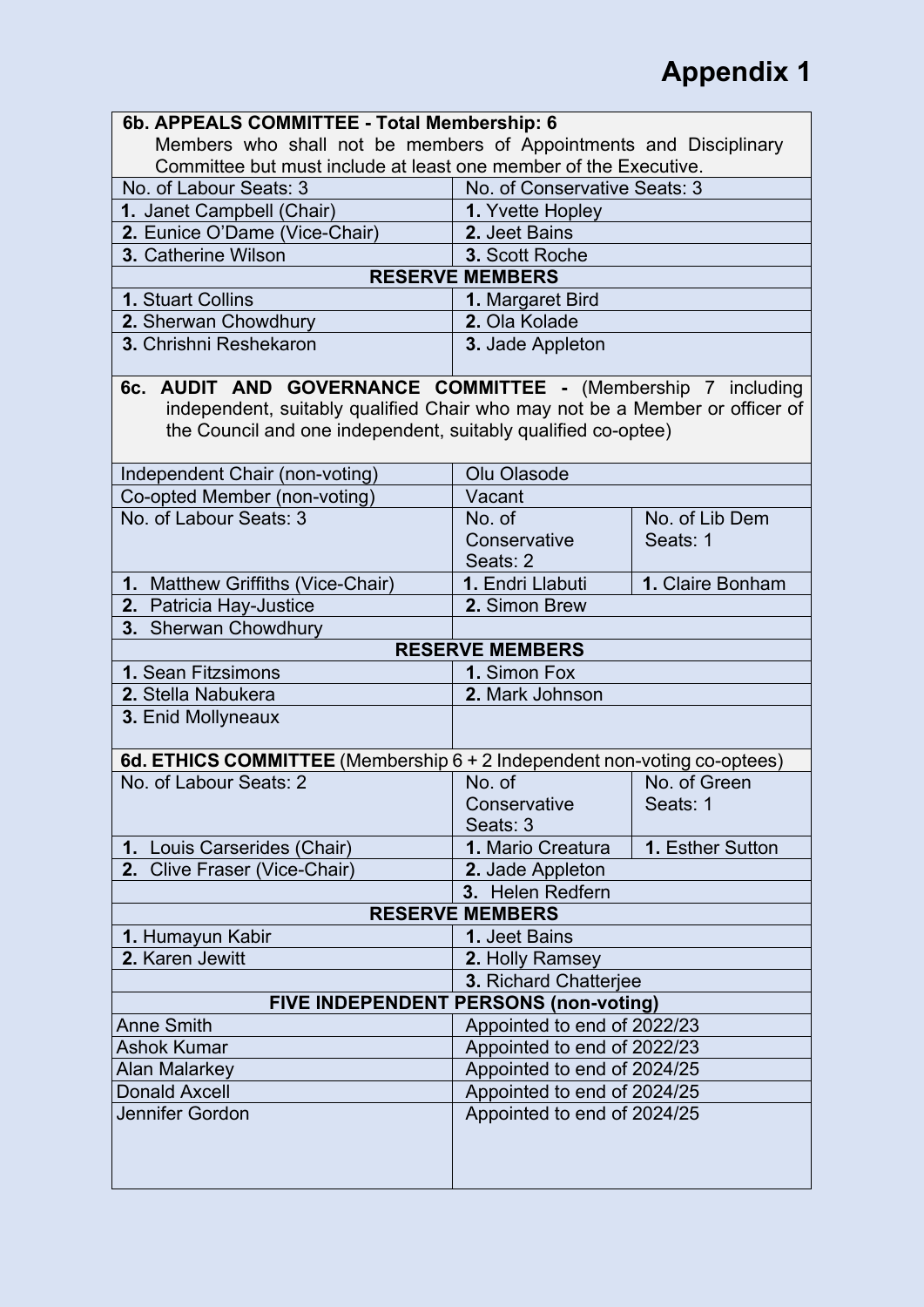| 6b. APPEALS COMMITTEE - Total Membership: 6                                                                                                                                                                  |                                       |                  |
|--------------------------------------------------------------------------------------------------------------------------------------------------------------------------------------------------------------|---------------------------------------|------------------|
| Members who shall not be members of Appointments and Disciplinary                                                                                                                                            |                                       |                  |
| Committee but must include at least one member of the Executive.                                                                                                                                             |                                       |                  |
| No. of Labour Seats: 3                                                                                                                                                                                       | No. of Conservative Seats: 3          |                  |
| 1. Janet Campbell (Chair)                                                                                                                                                                                    | 1. Yvette Hopley                      |                  |
| 2. Eunice O'Dame (Vice-Chair)                                                                                                                                                                                | 2. Jeet Bains                         |                  |
| 3. Catherine Wilson                                                                                                                                                                                          | 3. Scott Roche                        |                  |
|                                                                                                                                                                                                              | <b>RESERVE MEMBERS</b>                |                  |
| <b>1. Stuart Collins</b>                                                                                                                                                                                     | 1. Margaret Bird                      |                  |
| 2. Sherwan Chowdhury                                                                                                                                                                                         | 2. Ola Kolade                         |                  |
| 3. Chrishni Reshekaron                                                                                                                                                                                       | 3. Jade Appleton                      |                  |
| 6c. AUDIT AND GOVERNANCE COMMITTEE - (Membership 7 including<br>independent, suitably qualified Chair who may not be a Member or officer of<br>the Council and one independent, suitably qualified co-optee) |                                       |                  |
| Independent Chair (non-voting)                                                                                                                                                                               | Olu Olasode                           |                  |
| Co-opted Member (non-voting)                                                                                                                                                                                 | Vacant                                |                  |
| No. of Labour Seats: 3                                                                                                                                                                                       | No. of                                | No. of Lib Dem   |
|                                                                                                                                                                                                              | Conservative                          | Seats: 1         |
|                                                                                                                                                                                                              | Seats: 2                              |                  |
| 1. Matthew Griffiths (Vice-Chair)                                                                                                                                                                            | 1. Endri Llabuti                      | 1. Claire Bonham |
| 2. Patricia Hay-Justice                                                                                                                                                                                      | 2. Simon Brew                         |                  |
| 3. Sherwan Chowdhury                                                                                                                                                                                         |                                       |                  |
|                                                                                                                                                                                                              | <b>RESERVE MEMBERS</b>                |                  |
| 1. Sean Fitzsimons                                                                                                                                                                                           | 1. Simon Fox                          |                  |
| 2. Stella Nabukera                                                                                                                                                                                           | 2. Mark Johnson                       |                  |
| 3. Enid Mollyneaux                                                                                                                                                                                           |                                       |                  |
| 6d. ETHICS COMMITTEE (Membership 6 + 2 Independent non-voting co-optees)                                                                                                                                     |                                       |                  |
| No. of Labour Seats: 2                                                                                                                                                                                       | No. of                                | No. of Green     |
|                                                                                                                                                                                                              | Conservative                          | Seats: 1         |
|                                                                                                                                                                                                              | Seats: 3                              |                  |
| 1. Louis Carserides (Chair)                                                                                                                                                                                  | 1. Mario Creatura                     | 1. Esther Sutton |
| 2. Clive Fraser (Vice-Chair)                                                                                                                                                                                 | 2. Jade Appleton                      |                  |
|                                                                                                                                                                                                              | 3. Helen Redfern                      |                  |
|                                                                                                                                                                                                              | <b>RESERVE MEMBERS</b>                |                  |
| 1. Humayun Kabir                                                                                                                                                                                             | 1. Jeet Bains                         |                  |
| 2. Karen Jewitt                                                                                                                                                                                              | 2. Holly Ramsey                       |                  |
|                                                                                                                                                                                                              | 3. Richard Chatterjee                 |                  |
|                                                                                                                                                                                                              | FIVE INDEPENDENT PERSONS (non-voting) |                  |
| <b>Anne Smith</b>                                                                                                                                                                                            | Appointed to end of 2022/23           |                  |
| <b>Ashok Kumar</b>                                                                                                                                                                                           | Appointed to end of 2022/23           |                  |
| <b>Alan Malarkey</b>                                                                                                                                                                                         | Appointed to end of 2024/25           |                  |
| <b>Donald Axcell</b>                                                                                                                                                                                         | Appointed to end of 2024/25           |                  |
| Jennifer Gordon                                                                                                                                                                                              | Appointed to end of 2024/25           |                  |
|                                                                                                                                                                                                              |                                       |                  |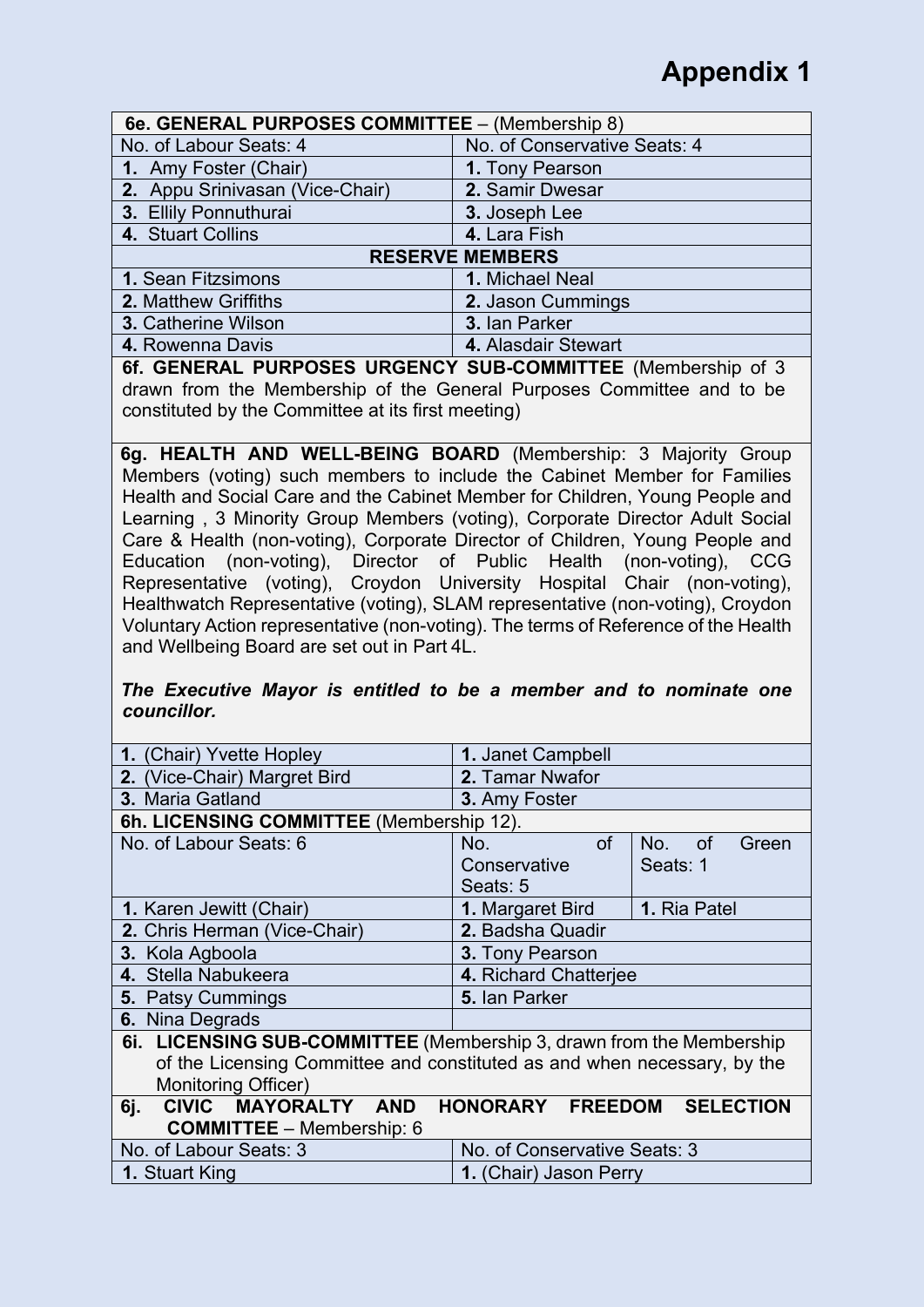| 6e. GENERAL PURPOSES COMMITTEE - (Membership 8) |                              |
|-------------------------------------------------|------------------------------|
| No. of Labour Seats: 4                          | No. of Conservative Seats: 4 |
| 1. Amy Foster (Chair)                           | 1. Tony Pearson              |
| 2. Appu Srinivasan (Vice-Chair)                 | 2. Samir Dwesar              |
| 3. Ellily Ponnuthurai                           | 3. Joseph Lee                |
| 4. Stuart Collins                               | 4. Lara Fish                 |
|                                                 | <b>RESERVE MEMBERS</b>       |
| 1. Sean Fitzsimons                              | 1. Michael Neal              |
| 2. Matthew Griffiths                            | 2. Jason Cummings            |
| <b>3. Catherine Wilson</b>                      | 3. Ian Parker                |
| 4. Rowenna Davis                                | 4. Alasdair Stewart          |

**6f. GENERAL PURPOSES URGENCY SUB-COMMITTEE** (Membership of 3 drawn from the Membership of the General Purposes Committee and to be constituted by the Committee at its first meeting)

**6g. HEALTH AND WELL-BEING BOARD** (Membership: 3 Majority Group Members (voting) such members to include the Cabinet Member for Families Health and Social Care and the Cabinet Member for Children, Young People and Learning , 3 Minority Group Members (voting), Corporate Director Adult Social Care & Health (non-voting), Corporate Director of Children, Young People and Education (non-voting), Director of Public Health (non-voting), CCG Representative (voting), Croydon University Hospital Chair (non-voting), Healthwatch Representative (voting), SLAM representative (non-voting), Croydon Voluntary Action representative (non-voting). The terms of Reference of the Health and Wellbeing Board are set out in Part 4L.

### *The Executive Mayor is entitled to be a member and to nominate one councillor.*

| 1. (Chair) Yvette Hopley                                                 | <b>1. Janet Campbell</b>     |                 |
|--------------------------------------------------------------------------|------------------------------|-----------------|
| 2. (Vice-Chair) Margret Bird                                             | 2. Tamar Nwafor              |                 |
| 3. Maria Gatland                                                         | 3. Amy Foster                |                 |
| 6h. LICENSING COMMITTEE (Membership 12).                                 |                              |                 |
| No. of Labour Seats: 6                                                   | <b>of</b><br>No.             | No. of<br>Green |
|                                                                          | Conservative                 | Seats: 1        |
|                                                                          | Seats: 5                     |                 |
| <b>1. Karen Jewitt (Chair)</b>                                           | 1. Margaret Bird             | 1. Ria Patel    |
| 2. Chris Herman (Vice-Chair)                                             | 2. Badsha Quadir             |                 |
| 3. Kola Agboola                                                          | 3. Tony Pearson              |                 |
| 4. Stella Nabukeera                                                      | 4. Richard Chatterjee        |                 |
| 5. Patsy Cummings                                                        | 5. Ian Parker                |                 |
| 6. Nina Degrads                                                          |                              |                 |
| 6i. LICENSING SUB-COMMITTEE (Membership 3, drawn from the Membership     |                              |                 |
| of the Licensing Committee and constituted as and when necessary, by the |                              |                 |
| Monitoring Officer)                                                      |                              |                 |
| CIVIC MAYORALTY AND<br>6j.                                               | HONORARY FREEDOM SELECTION   |                 |
| <b>COMMITTEE</b> - Membership: 6                                         |                              |                 |
| No. of Labour Seats: 3                                                   | No. of Conservative Seats: 3 |                 |
| <b>1. Stuart King</b>                                                    | 1. (Chair) Jason Perry       |                 |
|                                                                          |                              |                 |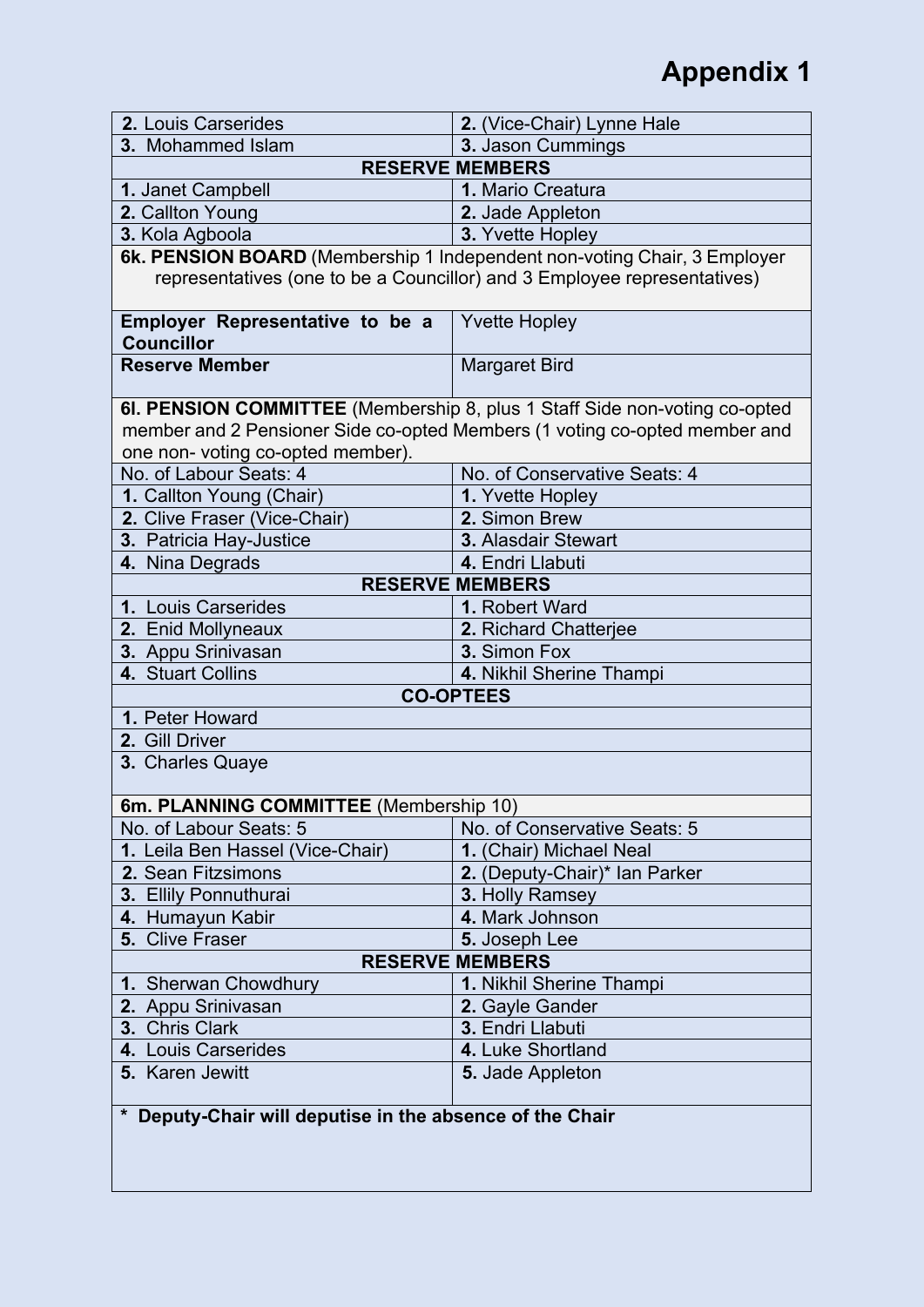| 2. Louis Carserides                                         | 2. (Vice-Chair) Lynne Hale                                                                                                                               |
|-------------------------------------------------------------|----------------------------------------------------------------------------------------------------------------------------------------------------------|
| 3. Mohammed Islam                                           | 3. Jason Cummings                                                                                                                                        |
|                                                             | <b>RESERVE MEMBERS</b>                                                                                                                                   |
| 1. Janet Campbell                                           | 1. Mario Creatura                                                                                                                                        |
| 2. Callton Young                                            | 2. Jade Appleton                                                                                                                                         |
| 3. Kola Agboola                                             | 3. Yvette Hopley                                                                                                                                         |
|                                                             | 6k. PENSION BOARD (Membership 1 Independent non-voting Chair, 3 Employer                                                                                 |
|                                                             | representatives (one to be a Councillor) and 3 Employee representatives)                                                                                 |
| <b>Employer Representative to be a</b><br><b>Councillor</b> | <b>Yvette Hopley</b>                                                                                                                                     |
| <b>Reserve Member</b>                                       | <b>Margaret Bird</b>                                                                                                                                     |
| one non- voting co-opted member).                           | 6I. PENSION COMMITTEE (Membership 8, plus 1 Staff Side non-voting co-opted<br>member and 2 Pensioner Side co-opted Members (1 voting co-opted member and |
| No. of Labour Seats: 4                                      | No. of Conservative Seats: 4                                                                                                                             |
| 1. Callton Young (Chair)                                    | 1. Yvette Hopley                                                                                                                                         |
| 2. Clive Fraser (Vice-Chair)                                | 2. Simon Brew                                                                                                                                            |
| 3. Patricia Hay-Justice                                     | 3. Alasdair Stewart                                                                                                                                      |
| 4. Nina Degrads                                             | 4. Endri Llabuti                                                                                                                                         |
|                                                             | <b>RESERVE MEMBERS</b>                                                                                                                                   |
| 1. Louis Carserides                                         | 1. Robert Ward                                                                                                                                           |
| 2. Enid Mollyneaux                                          | 2. Richard Chatterjee                                                                                                                                    |
| 3. Appu Srinivasan                                          | 3. Simon Fox                                                                                                                                             |
| 4. Stuart Collins                                           | 4. Nikhil Sherine Thampi                                                                                                                                 |
|                                                             | <b>CO-OPTEES</b>                                                                                                                                         |
| 1. Peter Howard                                             |                                                                                                                                                          |
| 2. Gill Driver                                              |                                                                                                                                                          |
| 3. Charles Quaye                                            |                                                                                                                                                          |
| 6m. PLANNING COMMITTEE (Membership 10)                      |                                                                                                                                                          |
| No. of Labour Seats: 5                                      | No. of Conservative Seats: 5                                                                                                                             |
| 1. Leila Ben Hassel (Vice-Chair)                            | 1. (Chair) Michael Neal                                                                                                                                  |
| 2. Sean Fitzsimons                                          | 2. (Deputy-Chair)* Ian Parker                                                                                                                            |
| 3. Ellily Ponnuthurai                                       | 3. Holly Ramsey                                                                                                                                          |
| 4. Humayun Kabir                                            | 4. Mark Johnson                                                                                                                                          |
| 5. Clive Fraser                                             | 5. Joseph Lee                                                                                                                                            |
|                                                             | <b>RESERVE MEMBERS</b>                                                                                                                                   |
| 1. Sherwan Chowdhury                                        | 1. Nikhil Sherine Thampi                                                                                                                                 |
| 2. Appu Srinivasan                                          | 2. Gayle Gander                                                                                                                                          |
| 3. Chris Clark                                              | 3. Endri Llabuti                                                                                                                                         |
| 4. Louis Carserides                                         | 4. Luke Shortland                                                                                                                                        |
| 5. Karen Jewitt                                             | 5. Jade Appleton                                                                                                                                         |
| * Deputy-Chair will deputise in the absence of the Chair    |                                                                                                                                                          |